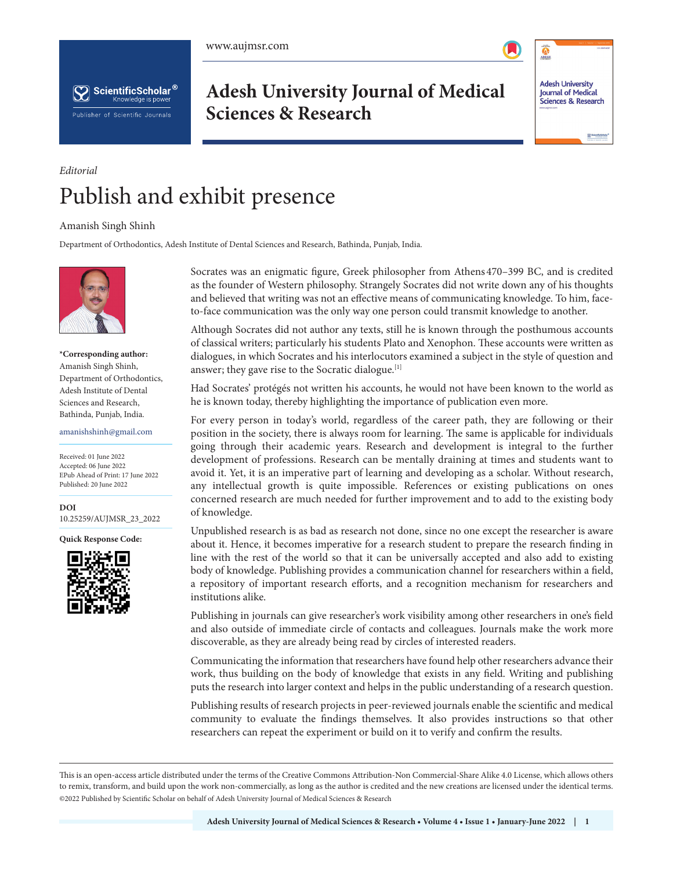



**Adesh University Journal of Medical Sciences & Research**



# *Editorial* Publish and exhibit presence

### Amanish Singh Shinh

Department of Orthodontics, Adesh Institute of Dental Sciences and Research, Bathinda, Punjab, India.



#### **\*Corresponding author:** Amanish Singh Shinh, Department of Orthodontics, Adesh Institute of Dental Sciences and Research, Bathinda, Punjab, India.

#### amanishshinh@gmail.com

Received: 01 June 2022 Accepted: 06 June 2022 EPub Ahead of Print: 17 June 2022 Published: 20 June 2022

**DOI** [10.25259/AUJMSR\\_23\\_2022](https://dx.doi.org/10.25259/AUJMSR_23_2022)

**Quick Response Code:**



Socrates was an enigmatic figure, Greek philosopher from Athens 470–399 BC, and is credited as the founder of Western philosophy. Strangely Socrates did not write down any of his thoughts and believed that writing was not an effective means of communicating knowledge. To him, faceto-face communication was the only way one person could transmit knowledge to another.

Although Socrates did not author any texts, still he is known through the posthumous accounts of classical writers; particularly his students Plato and Xenophon. These accounts were written as dialogues, in which Socrates and his interlocutors examined a subject in the style of question and answer; they gave rise to the Socratic dialogue.<sup>[1]</sup>

Had Socrates' protégés not written his accounts, he would not have been known to the world as he is known today, thereby highlighting the importance of publication even more.

For every person in today's world, regardless of the career path, they are following or their position in the society, there is always room for learning. The same is applicable for individuals going through their academic years. Research and development is integral to the further development of professions. Research can be mentally draining at times and students want to avoid it. Yet, it is an imperative part of learning and developing as a scholar. Without research, any intellectual growth is quite impossible. References or existing publications on ones concerned research are much needed for further improvement and to add to the existing body of knowledge.

Unpublished research is as bad as research not done, since no one except the researcher is aware about it. Hence, it becomes imperative for a research student to prepare the research finding in line with the rest of the world so that it can be universally accepted and also add to existing body of knowledge. Publishing provides a communication channel for researchers within a field, a repository of important research efforts, and a recognition mechanism for researchers and institutions alike.

Publishing in journals can give researcher's work visibility among other researchers in one's field and also outside of immediate circle of contacts and colleagues. Journals make the work more discoverable, as they are already being read by circles of interested readers.

Communicating the information that researchers have found help other researchers advance their work, thus building on the body of knowledge that exists in any field. Writing and publishing puts the research into larger context and helps in the public understanding of a research question.

Publishing results of research projects in peer-reviewed journals enable the scientific and medical community to evaluate the findings themselves. It also provides instructions so that other researchers can repeat the experiment or build on it to verify and confirm the results.

This is an open-access article distributed under the terms of the Creative Commons Attribution-Non Commercial-Share Alike 4.0 License, which allows others to remix, transform, and build upon the work non-commercially, as long as the author is credited and the new creations are licensed under the identical terms. ©2022 Published by Scientific Scholar on behalf of Adesh University Journal of Medical Sciences & Research